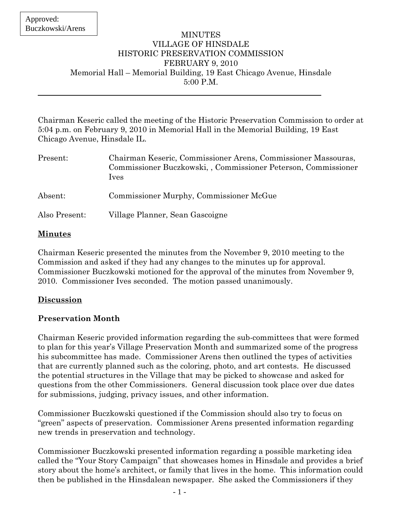#### MINUTES VILLAGE OF HINSDALE HISTORIC PRESERVATION COMMISSION FEBRUARY 9, 2010 Memorial Hall – Memorial Building, 19 East Chicago Avenue, Hinsdale 5:00 P.M.

Chairman Keseric called the meeting of the Historic Preservation Commission to order at 5:04 p.m. on February 9, 2010 in Memorial Hall in the Memorial Building, 19 East Chicago Avenue, Hinsdale IL.

| Present:      | Chairman Keseric, Commissioner Arens, Commissioner Massouras,<br>Commissioner Buczkowski, Commissioner Peterson, Commissioner<br><i>lves</i> |
|---------------|----------------------------------------------------------------------------------------------------------------------------------------------|
| Absent:       | Commissioner Murphy, Commissioner McGue                                                                                                      |
| Also Present: | Village Planner, Sean Gascoigne                                                                                                              |

#### **Minutes**

Chairman Keseric presented the minutes from the November 9, 2010 meeting to the Commission and asked if they had any changes to the minutes up for approval. Commissioner Buczkowski motioned for the approval of the minutes from November 9, 2010. Commissioner Ives seconded. The motion passed unanimously.

# **Discussion**

# **Preservation Month**

Chairman Keseric provided information regarding the sub-committees that were formed to plan for this year's Village Preservation Month and summarized some of the progress his subcommittee has made. Commissioner Arens then outlined the types of activities that are currently planned such as the coloring, photo, and art contests. He discussed the potential structures in the Village that may be picked to showcase and asked for questions from the other Commissioners. General discussion took place over due dates for submissions, judging, privacy issues, and other information.

Commissioner Buczkowski questioned if the Commission should also try to focus on "green" aspects of preservation. Commissioner Arens presented information regarding new trends in preservation and technology.

Commissioner Buczkowski presented information regarding a possible marketing idea called the "Your Story Campaign" that showcases homes in Hinsdale and provides a brief story about the home's architect, or family that lives in the home. This information could then be published in the Hinsdalean newspaper. She asked the Commissioners if they